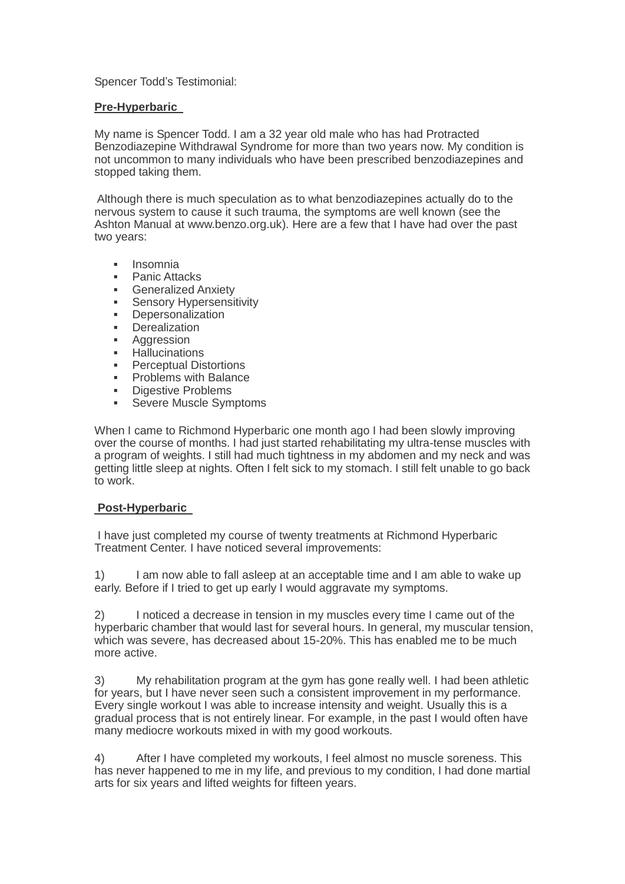## Spencer Todd's Testimonial:

## **Pre-Hyperbaric**

My name is Spencer Todd. I am a 32 year old male who has had Protracted Benzodiazepine Withdrawal Syndrome for more than two years now. My condition is not uncommon to many individuals who have been prescribed benzodiazepines and stopped taking them.

Although there is much speculation as to what benzodiazepines actually do to the nervous system to cause it such trauma, the symptoms are well known (see the Ashton Manual at [www.benzo.org.uk\)](http://www.benzo.org.uk/). Here are a few that I have had over the past two years:

- Insomnia
- Panic Attacks
- Generalized Anxiety
- Sensory Hypersensitivity
- Depersonalization
- **Derealization**
- Aggression
- **-** Hallucinations
- Perceptual Distortions
- Problems with Balance
- **-** Digestive Problems
- **Severe Muscle Symptoms**

When I came to Richmond Hyperbaric one month ago I had been slowly improving over the course of months. I had just started rehabilitating my ultra-tense muscles with a program of weights. I still had much tightness in my abdomen and my neck and was getting little sleep at nights. Often I felt sick to my stomach. I still felt unable to go back to work.

## **Post-Hyperbaric**

I have just completed my course of twenty treatments at Richmond Hyperbaric Treatment Center. I have noticed several improvements:

1) I am now able to fall asleep at an acceptable time and I am able to wake up early. Before if I tried to get up early I would aggravate my symptoms.

2) I noticed a decrease in tension in my muscles every time I came out of the hyperbaric chamber that would last for several hours. In general, my muscular tension, which was severe, has decreased about 15-20%. This has enabled me to be much more active.

3) My rehabilitation program at the gym has gone really well. I had been athletic for years, but I have never seen such a consistent improvement in my performance. Every single workout I was able to increase intensity and weight. Usually this is a gradual process that is not entirely linear. For example, in the past I would often have many mediocre workouts mixed in with my good workouts.

4) After I have completed my workouts, I feel almost no muscle soreness. This has never happened to me in my life, and previous to my condition, I had done martial arts for six years and lifted weights for fifteen years.